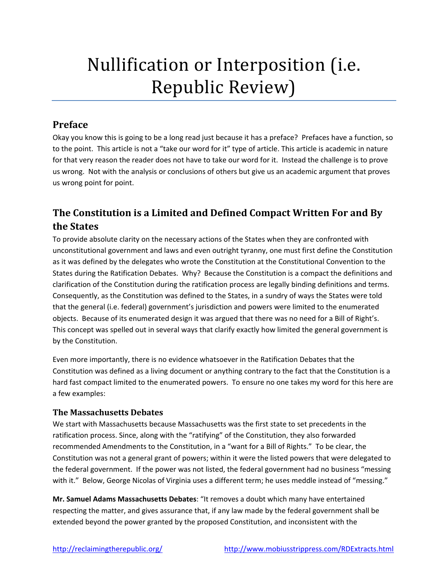# Nullification or Interposition (i.e. Republic Review)

# **Preface**

Okay you know this is going to be a long read just because it has a preface? Prefaces have a function, so to the point. This article is not a "take our word for it" type of article. This article is academic in nature for that very reason the reader does not have to take our word for it. Instead the challenge is to prove us wrong. Not with the analysis or conclusions of others but give us an academic argument that proves us wrong point for point.

# **The Constitution is a Limited and Defined Compact Written For and By the States**

To provide absolute clarity on the necessary actions of the States when they are confronted with unconstitutional government and laws and even outright tyranny, one must first define the Constitution as it was defined by the delegates who wrote the Constitution at the Constitutional Convention to the States during the Ratification Debates. Why? Because the Constitution is a compact the definitions and clarification of the Constitution during the ratification process are legally binding definitions and terms. Consequently, as the Constitution was defined to the States, in a sundry of ways the States were told that the general (i.e. federal) government's jurisdiction and powers were limited to the enumerated objects. Because of its enumerated design it was argued that there was no need for a Bill of Right's. This concept was spelled out in several ways that clarify exactly how limited the general government is by the Constitution.

Even more importantly, there is no evidence whatsoever in the Ratification Debates that the Constitution was defined as a living document or anything contrary to the fact that the Constitution is a hard fast compact limited to the enumerated powers. To ensure no one takes my word for this here are a few examples:

#### **The Massachusetts Debates**

We start with Massachusetts because Massachusetts was the first state to set precedents in the ratification process. Since, along with the "ratifying" of the Constitution, they also forwarded recommended Amendments to the Constitution, in a "want for a Bill of Rights." To be clear, the Constitution was not a general grant of powers; within it were the listed powers that were delegated to the federal government. If the power was not listed, the federal government had no business "messing with it." Below, George Nicolas of Virginia uses a different term; he uses meddle instead of "messing."

**Mr. Samuel Adams Massachusetts Debates**: "It removes a doubt which many have entertained respecting the matter, and gives assurance that, if any law made by the federal government shall be extended beyond the power granted by the proposed Constitution, and inconsistent with the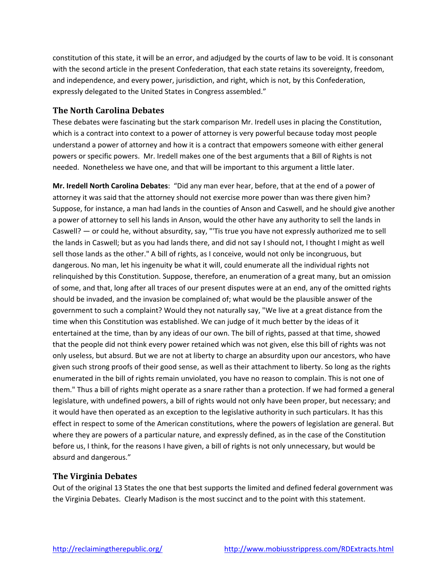constitution of this state, it will be an error, and adjudged by the courts of law to be void. It is consonant with the second article in the present Confederation, that each state retains its sovereignty, freedom, and independence, and every power, jurisdiction, and right, which is not, by this Confederation, expressly delegated to the United States in Congress assembled."

#### **The North Carolina Debates**

These debates were fascinating but the stark comparison Mr. Iredell uses in placing the Constitution, which is a contract into context to a power of attorney is very powerful because today most people understand a power of attorney and how it is a contract that empowers someone with either general powers or specific powers. Mr. Iredell makes one of the best arguments that a Bill of Rights is not needed. Nonetheless we have one, and that will be important to this argument a little later.

**Mr. Iredell North Carolina Debates**: "Did any man ever hear, before, that at the end of a power of attorney it was said that the attorney should not exercise more power than was there given him? Suppose, for instance, a man had lands in the counties of Anson and Caswell, and he should give another a power of attorney to sell his lands in Anson, would the other have any authority to sell the lands in Caswell? — or could he, without absurdity, say, "'Tis true you have not expressly authorized me to sell the lands in Caswell; but as you had lands there, and did not say I should not, I thought I might as well sell those lands as the other." A bill of rights, as I conceive, would not only be incongruous, but dangerous. No man, let his ingenuity be what it will, could enumerate all the individual rights not relinquished by this Constitution. Suppose, therefore, an enumeration of a great many, but an omission of some, and that, long after all traces of our present disputes were at an end, any of the omitted rights should be invaded, and the invasion be complained of; what would be the plausible answer of the government to such a complaint? Would they not naturally say, "We live at a great distance from the time when this Constitution was established. We can judge of it much better by the ideas of it entertained at the time, than by any ideas of our own. The bill of rights, passed at that time, showed that the people did not think every power retained which was not given, else this bill of rights was not only useless, but absurd. But we are not at liberty to charge an absurdity upon our ancestors, who have given such strong proofs of their good sense, as well as their attachment to liberty. So long as the rights enumerated in the bill of rights remain unviolated, you have no reason to complain. This is not one of them." Thus a bill of rights might operate as a snare rather than a protection. If we had formed a general legislature, with undefined powers, a bill of rights would not only have been proper, but necessary; and it would have then operated as an exception to the legislative authority in such particulars. It has this effect in respect to some of the American constitutions, where the powers of legislation are general. But where they are powers of a particular nature, and expressly defined, as in the case of the Constitution before us, I think, for the reasons I have given, a bill of rights is not only unnecessary, but would be absurd and dangerous."

#### **The Virginia Debates**

Out of the original 13 States the one that best supports the limited and defined federal government was the Virginia Debates. Clearly Madison is the most succinct and to the point with this statement.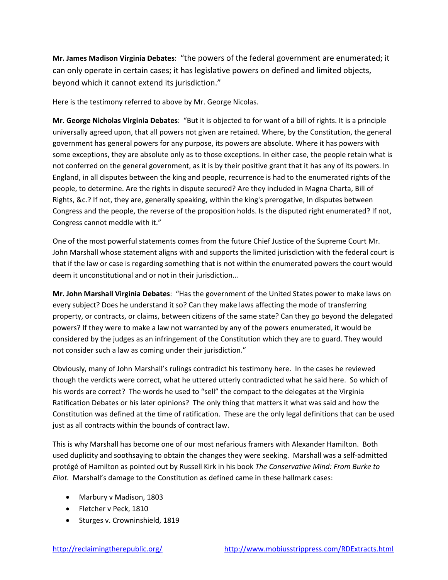**Mr. James Madison Virginia Debates**: "the powers of the federal government are enumerated; it can only operate in certain cases; it has legislative powers on defined and limited objects, beyond which it cannot extend its jurisdiction."

Here is the testimony referred to above by Mr. George Nicolas.

**Mr. George Nicholas Virginia Debates**: "But it is objected to for want of a bill of rights. It is a principle universally agreed upon, that all powers not given are retained. Where, by the Constitution, the general government has general powers for any purpose, its powers are absolute. Where it has powers with some exceptions, they are absolute only as to those exceptions. In either case, the people retain what is not conferred on the general government, as it is by their positive grant that it has any of its powers. In England, in all disputes between the king and people, recurrence is had to the enumerated rights of the people, to determine. Are the rights in dispute secured? Are they included in Magna Charta, Bill of Rights, &c.? If not, they are, generally speaking, within the king's prerogative, In disputes between Congress and the people, the reverse of the proposition holds. Is the disputed right enumerated? If not, Congress cannot meddle with it."

One of the most powerful statements comes from the future Chief Justice of the Supreme Court Mr. John Marshall whose statement aligns with and supports the limited jurisdiction with the federal court is that if the law or case is regarding something that is not within the enumerated powers the court would deem it unconstitutional and or not in their jurisdiction…

**Mr. John Marshall Virginia Debates**: "Has the government of the United States power to make laws on every subject? Does he understand it so? Can they make laws affecting the mode of transferring property, or contracts, or claims, between citizens of the same state? Can they go beyond the delegated powers? If they were to make a law not warranted by any of the powers enumerated, it would be considered by the judges as an infringement of the Constitution which they are to guard. They would not consider such a law as coming under their jurisdiction."

Obviously, many of John Marshall's rulings contradict his testimony here. In the cases he reviewed though the verdicts were correct, what he uttered utterly contradicted what he said here. So which of his words are correct? The words he used to "sell" the compact to the delegates at the Virginia Ratification Debates or his later opinions? The only thing that matters it what was said and how the Constitution was defined at the time of ratification. These are the only legal definitions that can be used just as all contracts within the bounds of contract law.

This is why Marshall has become one of our most nefarious framers with Alexander Hamilton. Both used duplicity and soothsaying to obtain the changes they were seeking. Marshall was a self‐admitted protégé of Hamilton as pointed out by Russell Kirk in his book *The Conservative Mind: From Burke to Eliot.* Marshall's damage to the Constitution as defined came in these hallmark cases:

- Marbury v Madison, 1803
- Fletcher v Peck, 1810
- Sturges v. Crowninshield, 1819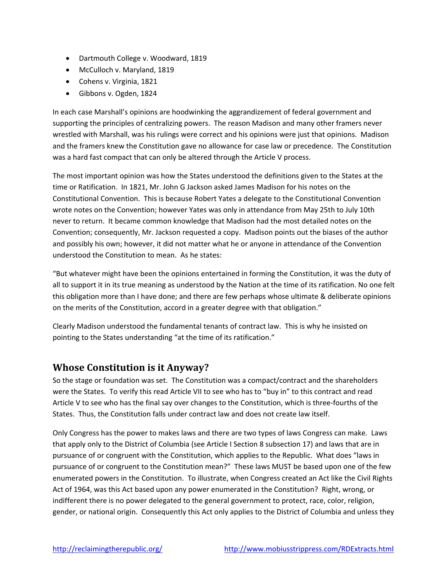- Dartmouth College v. Woodward, 1819
- McCulloch v. Maryland, 1819
- Cohens v. Virginia, 1821
- Gibbons v. Ogden, 1824

In each case Marshall's opinions are hoodwinking the aggrandizement of federal government and supporting the principles of centralizing powers. The reason Madison and many other framers never wrestled with Marshall, was his rulings were correct and his opinions were just that opinions. Madison and the framers knew the Constitution gave no allowance for case law or precedence. The Constitution was a hard fast compact that can only be altered through the Article V process.

The most important opinion was how the States understood the definitions given to the States at the time or Ratification. In 1821, Mr. John G Jackson asked James Madison for his notes on the Constitutional Convention. This is because Robert Yates a delegate to the Constitutional Convention wrote notes on the Convention; however Yates was only in attendance from May 25th to July 10th never to return. It became common knowledge that Madison had the most detailed notes on the Convention; consequently, Mr. Jackson requested a copy. Madison points out the biases of the author and possibly his own; however, it did not matter what he or anyone in attendance of the Convention understood the Constitution to mean. As he states:

"But whatever might have been the opinions entertained in forming the Constitution, it was the duty of all to support it in its true meaning as understood by the Nation at the time of its ratification. No one felt this obligation more than I have done; and there are few perhaps whose ultimate & deliberate opinions on the merits of the Constitution, accord in a greater degree with that obligation."

Clearly Madison understood the fundamental tenants of contract law. This is why he insisted on pointing to the States understanding "at the time of its ratification."

### **Whose Constitution is it Anyway?**

So the stage or foundation was set. The Constitution was a compact/contract and the shareholders were the States. To verify this read Article VII to see who has to "buy in" to this contract and read Article V to see who has the final say over changes to the Constitution, which is three-fourths of the States. Thus, the Constitution falls under contract law and does not create law itself.

Only Congress has the power to makes laws and there are two types of laws Congress can make. Laws that apply only to the District of Columbia (see Article I Section 8 subsection 17) and laws that are in pursuance of or congruent with the Constitution, which applies to the Republic. What does "laws in pursuance of or congruent to the Constitution mean?" These laws MUST be based upon one of the few enumerated powers in the Constitution. To illustrate, when Congress created an Act like the Civil Rights Act of 1964, was this Act based upon any power enumerated in the Constitution? Right, wrong, or indifferent there is no power delegated to the general government to protect, race, color, religion, gender, or national origin. Consequently this Act only applies to the District of Columbia and unless they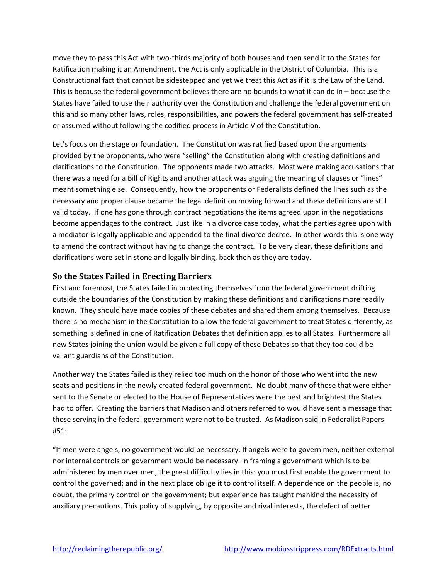move they to pass this Act with two‐thirds majority of both houses and then send it to the States for Ratification making it an Amendment, the Act is only applicable in the District of Columbia. This is a Constructional fact that cannot be sidestepped and yet we treat this Act as if it is the Law of the Land. This is because the federal government believes there are no bounds to what it can do in – because the States have failed to use their authority over the Constitution and challenge the federal government on this and so many other laws, roles, responsibilities, and powers the federal government has self‐created or assumed without following the codified process in Article V of the Constitution.

Let's focus on the stage or foundation. The Constitution was ratified based upon the arguments provided by the proponents, who were "selling" the Constitution along with creating definitions and clarifications to the Constitution. The opponents made two attacks. Most were making accusations that there was a need for a Bill of Rights and another attack was arguing the meaning of clauses or "lines" meant something else. Consequently, how the proponents or Federalists defined the lines such as the necessary and proper clause became the legal definition moving forward and these definitions are still valid today. If one has gone through contract negotiations the items agreed upon in the negotiations become appendages to the contract. Just like in a divorce case today, what the parties agree upon with a mediator is legally applicable and appended to the final divorce decree. In other words this is one way to amend the contract without having to change the contract. To be very clear, these definitions and clarifications were set in stone and legally binding, back then as they are today.

#### **So the States Failed in Erecting Barriers**

First and foremost, the States failed in protecting themselves from the federal government drifting outside the boundaries of the Constitution by making these definitions and clarifications more readily known. They should have made copies of these debates and shared them among themselves. Because there is no mechanism in the Constitution to allow the federal government to treat States differently, as something is defined in one of Ratification Debates that definition applies to all States. Furthermore all new States joining the union would be given a full copy of these Debates so that they too could be valiant guardians of the Constitution.

Another way the States failed is they relied too much on the honor of those who went into the new seats and positions in the newly created federal government. No doubt many of those that were either sent to the Senate or elected to the House of Representatives were the best and brightest the States had to offer. Creating the barriers that Madison and others referred to would have sent a message that those serving in the federal government were not to be trusted. As Madison said in Federalist Papers #51:

"If men were angels, no government would be necessary. If angels were to govern men, neither external nor internal controls on government would be necessary. In framing a government which is to be administered by men over men, the great difficulty lies in this: you must first enable the government to control the governed; and in the next place oblige it to control itself. A dependence on the people is, no doubt, the primary control on the government; but experience has taught mankind the necessity of auxiliary precautions. This policy of supplying, by opposite and rival interests, the defect of better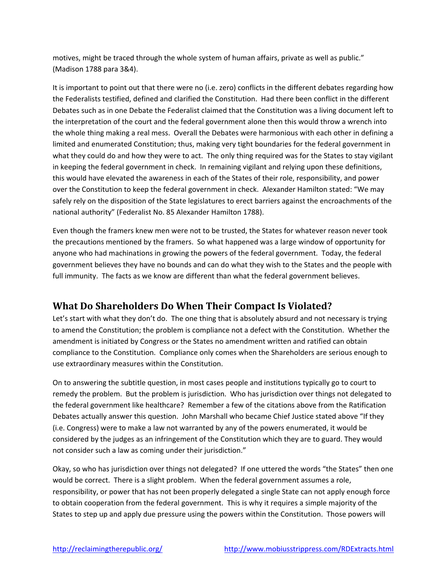motives, might be traced through the whole system of human affairs, private as well as public." (Madison 1788 para 3&4).

It is important to point out that there were no (i.e. zero) conflicts in the different debates regarding how the Federalists testified, defined and clarified the Constitution. Had there been conflict in the different Debates such as in one Debate the Federalist claimed that the Constitution was a living document left to the interpretation of the court and the federal government alone then this would throw a wrench into the whole thing making a real mess. Overall the Debates were harmonious with each other in defining a limited and enumerated Constitution; thus, making very tight boundaries for the federal government in what they could do and how they were to act. The only thing required was for the States to stay vigilant in keeping the federal government in check. In remaining vigilant and relying upon these definitions, this would have elevated the awareness in each of the States of their role, responsibility, and power over the Constitution to keep the federal government in check. Alexander Hamilton stated: "We may safely rely on the disposition of the State legislatures to erect barriers against the encroachments of the national authority" (Federalist No. 85 Alexander Hamilton 1788).

Even though the framers knew men were not to be trusted, the States for whatever reason never took the precautions mentioned by the framers. So what happened was a large window of opportunity for anyone who had machinations in growing the powers of the federal government. Today, the federal government believes they have no bounds and can do what they wish to the States and the people with full immunity. The facts as we know are different than what the federal government believes.

## **What Do Shareholders Do When Their Compact Is Violated?**

Let's start with what they don't do. The one thing that is absolutely absurd and not necessary is trying to amend the Constitution; the problem is compliance not a defect with the Constitution. Whether the amendment is initiated by Congress or the States no amendment written and ratified can obtain compliance to the Constitution. Compliance only comes when the Shareholders are serious enough to use extraordinary measures within the Constitution.

On to answering the subtitle question, in most cases people and institutions typically go to court to remedy the problem. But the problem is jurisdiction. Who has jurisdiction over things not delegated to the federal government like healthcare? Remember a few of the citations above from the Ratification Debates actually answer this question. John Marshall who became Chief Justice stated above "If they (i.e. Congress) were to make a law not warranted by any of the powers enumerated, it would be considered by the judges as an infringement of the Constitution which they are to guard. They would not consider such a law as coming under their jurisdiction."

Okay, so who has jurisdiction over things not delegated? If one uttered the words "the States" then one would be correct. There is a slight problem. When the federal government assumes a role, responsibility, or power that has not been properly delegated a single State can not apply enough force to obtain cooperation from the federal government. This is why it requires a simple majority of the States to step up and apply due pressure using the powers within the Constitution. Those powers will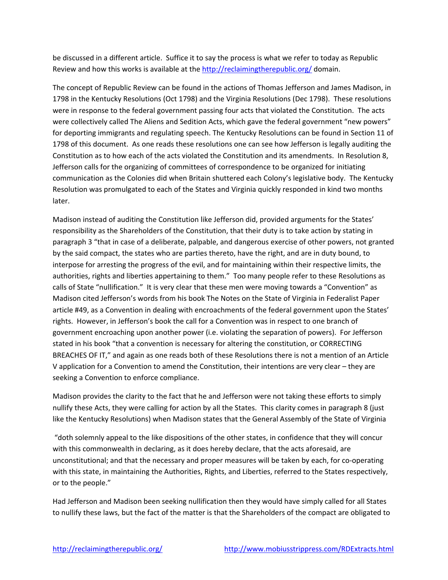be discussed in a different article. Suffice it to say the process is what we refer to today as Republic Review and how this works is available at the http://reclaimingtherepublic.org/ domain.

The concept of Republic Review can be found in the actions of Thomas Jefferson and James Madison, in 1798 in the Kentucky Resolutions (Oct 1798) and the Virginia Resolutions (Dec 1798). These resolutions were in response to the federal government passing four acts that violated the Constitution. The acts were collectively called The Aliens and Sedition Acts, which gave the federal government "new powers" for deporting immigrants and regulating speech. The Kentucky Resolutions can be found in Section 11 of 1798 of this document. As one reads these resolutions one can see how Jefferson is legally auditing the Constitution as to how each of the acts violated the Constitution and its amendments. In Resolution 8, Jefferson calls for the organizing of committees of correspondence to be organized for initiating communication as the Colonies did when Britain shuttered each Colony's legislative body. The Kentucky Resolution was promulgated to each of the States and Virginia quickly responded in kind two months later.

Madison instead of auditing the Constitution like Jefferson did, provided arguments for the States' responsibility as the Shareholders of the Constitution, that their duty is to take action by stating in paragraph 3 "that in case of a deliberate, palpable, and dangerous exercise of other powers, not granted by the said compact, the states who are parties thereto, have the right, and are in duty bound, to interpose for arresting the progress of the evil, and for maintaining within their respective limits, the authorities, rights and liberties appertaining to them." Too many people refer to these Resolutions as calls of State "nullification." It is very clear that these men were moving towards a "Convention" as Madison cited Jefferson's words from his book The Notes on the State of Virginia in Federalist Paper article #49, as a Convention in dealing with encroachments of the federal government upon the States' rights. However, in Jefferson's book the call for a Convention was in respect to one branch of government encroaching upon another power (i.e. violating the separation of powers). For Jefferson stated in his book "that a convention is necessary for altering the constitution, or CORRECTING BREACHES OF IT," and again as one reads both of these Resolutions there is not a mention of an Article V application for a Convention to amend the Constitution, their intentions are very clear – they are seeking a Convention to enforce compliance.

Madison provides the clarity to the fact that he and Jefferson were not taking these efforts to simply nullify these Acts, they were calling for action by all the States. This clarity comes in paragraph 8 (just like the Kentucky Resolutions) when Madison states that the General Assembly of the State of Virginia

"doth solemnly appeal to the like dispositions of the other states, in confidence that they will concur with this commonwealth in declaring, as it does hereby declare, that the acts aforesaid, are unconstitutional; and that the necessary and proper measures will be taken by each, for co‐operating with this state, in maintaining the Authorities, Rights, and Liberties, referred to the States respectively, or to the people."

Had Jefferson and Madison been seeking nullification then they would have simply called for all States to nullify these laws, but the fact of the matter is that the Shareholders of the compact are obligated to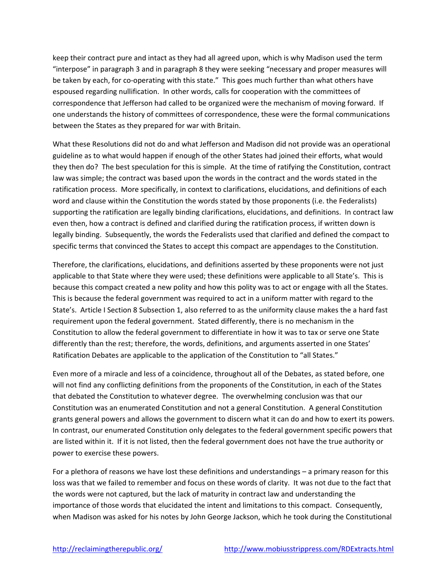keep their contract pure and intact as they had all agreed upon, which is why Madison used the term "interpose" in paragraph 3 and in paragraph 8 they were seeking "necessary and proper measures will be taken by each, for co-operating with this state." This goes much further than what others have espoused regarding nullification. In other words, calls for cooperation with the committees of correspondence that Jefferson had called to be organized were the mechanism of moving forward. If one understands the history of committees of correspondence, these were the formal communications between the States as they prepared for war with Britain.

What these Resolutions did not do and what Jefferson and Madison did not provide was an operational guideline as to what would happen if enough of the other States had joined their efforts, what would they then do? The best speculation for this is simple. At the time of ratifying the Constitution, contract law was simple; the contract was based upon the words in the contract and the words stated in the ratification process. More specifically, in context to clarifications, elucidations, and definitions of each word and clause within the Constitution the words stated by those proponents (i.e. the Federalists) supporting the ratification are legally binding clarifications, elucidations, and definitions. In contract law even then, how a contract is defined and clarified during the ratification process, if written down is legally binding. Subsequently, the words the Federalists used that clarified and defined the compact to specific terms that convinced the States to accept this compact are appendages to the Constitution.

Therefore, the clarifications, elucidations, and definitions asserted by these proponents were not just applicable to that State where they were used; these definitions were applicable to all State's. This is because this compact created a new polity and how this polity was to act or engage with all the States. This is because the federal government was required to act in a uniform matter with regard to the State's. Article I Section 8 Subsection 1, also referred to as the uniformity clause makes the a hard fast requirement upon the federal government. Stated differently, there is no mechanism in the Constitution to allow the federal government to differentiate in how it was to tax or serve one State differently than the rest; therefore, the words, definitions, and arguments asserted in one States' Ratification Debates are applicable to the application of the Constitution to "all States."

Even more of a miracle and less of a coincidence, throughout all of the Debates, as stated before, one will not find any conflicting definitions from the proponents of the Constitution, in each of the States that debated the Constitution to whatever degree. The overwhelming conclusion was that our Constitution was an enumerated Constitution and not a general Constitution. A general Constitution grants general powers and allows the government to discern what it can do and how to exert its powers. In contrast, our enumerated Constitution only delegates to the federal government specific powers that are listed within it. If it is not listed, then the federal government does not have the true authority or power to exercise these powers.

For a plethora of reasons we have lost these definitions and understandings – a primary reason for this loss was that we failed to remember and focus on these words of clarity. It was not due to the fact that the words were not captured, but the lack of maturity in contract law and understanding the importance of those words that elucidated the intent and limitations to this compact. Consequently, when Madison was asked for his notes by John George Jackson, which he took during the Constitutional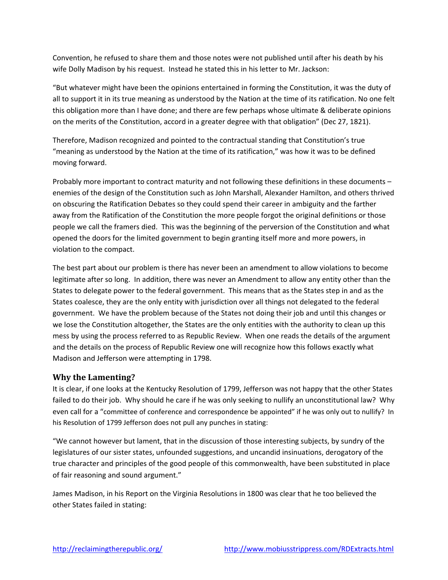Convention, he refused to share them and those notes were not published until after his death by his wife Dolly Madison by his request. Instead he stated this in his letter to Mr. Jackson:

"But whatever might have been the opinions entertained in forming the Constitution, it was the duty of all to support it in its true meaning as understood by the Nation at the time of its ratification. No one felt this obligation more than I have done; and there are few perhaps whose ultimate & deliberate opinions on the merits of the Constitution, accord in a greater degree with that obligation" (Dec 27, 1821).

Therefore, Madison recognized and pointed to the contractual standing that Constitution's true "meaning as understood by the Nation at the time of its ratification," was how it was to be defined moving forward.

Probably more important to contract maturity and not following these definitions in these documents – enemies of the design of the Constitution such as John Marshall, Alexander Hamilton, and others thrived on obscuring the Ratification Debates so they could spend their career in ambiguity and the farther away from the Ratification of the Constitution the more people forgot the original definitions or those people we call the framers died. This was the beginning of the perversion of the Constitution and what opened the doors for the limited government to begin granting itself more and more powers, in violation to the compact.

The best part about our problem is there has never been an amendment to allow violations to become legitimate after so long. In addition, there was never an Amendment to allow any entity other than the States to delegate power to the federal government. This means that as the States step in and as the States coalesce, they are the only entity with jurisdiction over all things not delegated to the federal government. We have the problem because of the States not doing their job and until this changes or we lose the Constitution altogether, the States are the only entities with the authority to clean up this mess by using the process referred to as Republic Review. When one reads the details of the argument and the details on the process of Republic Review one will recognize how this follows exactly what Madison and Jefferson were attempting in 1798.

#### **Why the Lamenting?**

It is clear, if one looks at the Kentucky Resolution of 1799, Jefferson was not happy that the other States failed to do their job. Why should he care if he was only seeking to nullify an unconstitutional law? Why even call for a "committee of conference and correspondence be appointed" if he was only out to nullify? In his Resolution of 1799 Jefferson does not pull any punches in stating:

"We cannot however but lament, that in the discussion of those interesting subjects, by sundry of the legislatures of our sister states, unfounded suggestions, and uncandid insinuations, derogatory of the true character and principles of the good people of this commonwealth, have been substituted in place of fair reasoning and sound argument."

James Madison, in his Report on the Virginia Resolutions in 1800 was clear that he too believed the other States failed in stating: